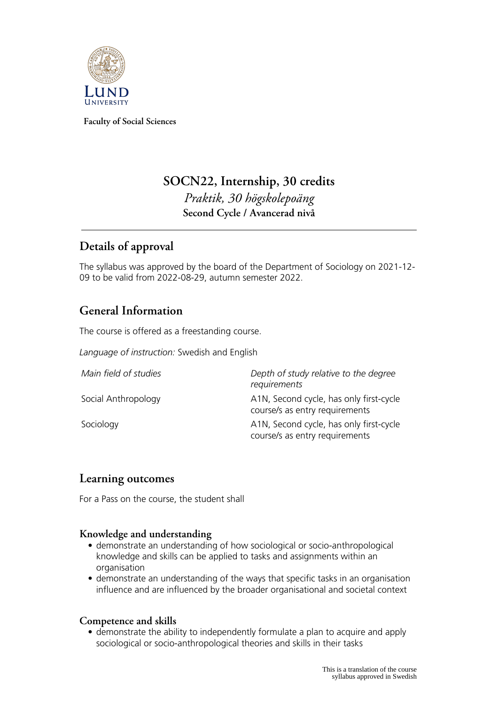

**Faculty of Social Sciences**

# **SOCN22, Internship, 30 credits** *Praktik, 30 högskolepoäng* **Second Cycle / Avancerad nivå**

# **Details of approval**

The syllabus was approved by the board of the Department of Sociology on 2021-12- 09 to be valid from 2022-08-29, autumn semester 2022.

## **General Information**

The course is offered as a freestanding course.

*Language of instruction:* Swedish and English

| Main field of studies | Depth of study relative to the degree<br>requirements                     |
|-----------------------|---------------------------------------------------------------------------|
| Social Anthropology   | A1N, Second cycle, has only first-cycle<br>course/s as entry requirements |
| Sociology             | A1N, Second cycle, has only first-cycle<br>course/s as entry requirements |

### **Learning outcomes**

For a Pass on the course, the student shall

### **Knowledge and understanding**

- demonstrate an understanding of how sociological or socio-anthropological knowledge and skills can be applied to tasks and assignments within an organisation
- demonstrate an understanding of the ways that specific tasks in an organisation influence and are influenced by the broader organisational and societal context

### **Competence and skills**

• demonstrate the ability to independently formulate a plan to acquire and apply sociological or socio-anthropological theories and skills in their tasks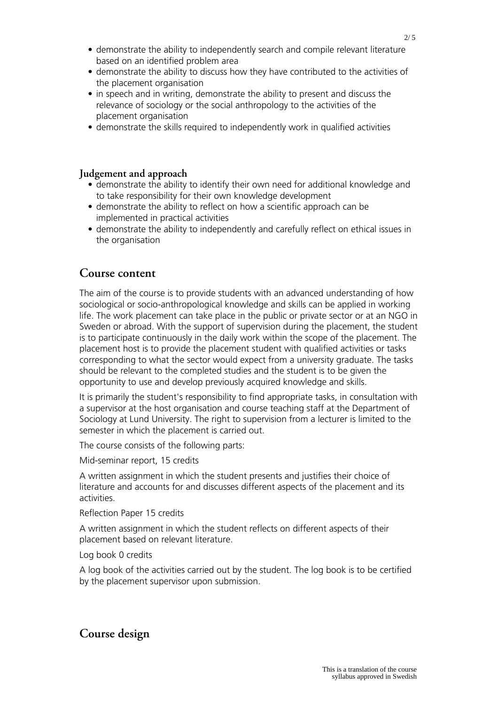- demonstrate the ability to independently search and compile relevant literature based on an identified problem area
- demonstrate the ability to discuss how they have contributed to the activities of the placement organisation
- in speech and in writing, demonstrate the ability to present and discuss the relevance of sociology or the social anthropology to the activities of the placement organisation
- demonstrate the skills required to independently work in qualified activities

#### **Judgement and approach**

- demonstrate the ability to identify their own need for additional knowledge and to take responsibility for their own knowledge development
- demonstrate the ability to reflect on how a scientific approach can be implemented in practical activities
- demonstrate the ability to independently and carefully reflect on ethical issues in the organisation

#### **Course content**

The aim of the course is to provide students with an advanced understanding of how sociological or socio-anthropological knowledge and skills can be applied in working life. The work placement can take place in the public or private sector or at an NGO in Sweden or abroad. With the support of supervision during the placement, the student is to participate continuously in the daily work within the scope of the placement. The placement host is to provide the placement student with qualified activities or tasks corresponding to what the sector would expect from a university graduate. The tasks should be relevant to the completed studies and the student is to be given the opportunity to use and develop previously acquired knowledge and skills.

It is primarily the student's responsibility to find appropriate tasks, in consultation with a supervisor at the host organisation and course teaching staff at the Department of Sociology at Lund University. The right to supervision from a lecturer is limited to the semester in which the placement is carried out.

The course consists of the following parts:

Mid-seminar report, 15 credits

A written assignment in which the student presents and justifies their choice of literature and accounts for and discusses different aspects of the placement and its activities.

Reflection Paper 15 credits

A written assignment in which the student reflects on different aspects of their placement based on relevant literature.

Log book 0 credits

A log book of the activities carried out by the student. The log book is to be certified by the placement supervisor upon submission.

### **Course design**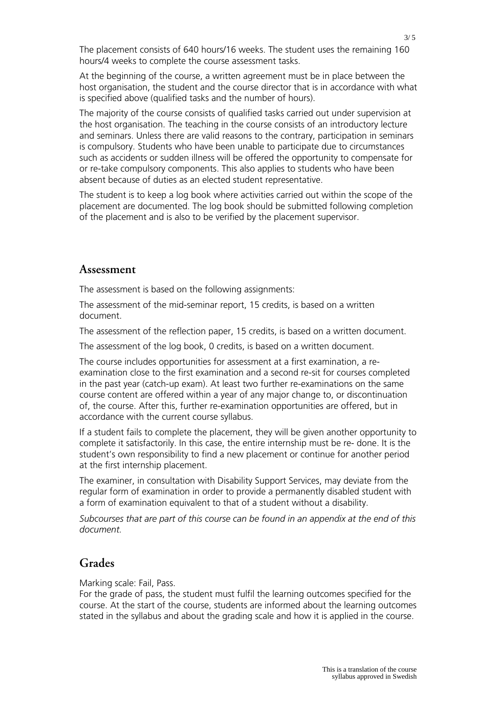The placement consists of 640 hours/16 weeks. The student uses the remaining 160 hours/4 weeks to complete the course assessment tasks.

At the beginning of the course, a written agreement must be in place between the host organisation, the student and the course director that is in accordance with what is specified above (qualified tasks and the number of hours).

The majority of the course consists of qualified tasks carried out under supervision at the host organisation. The teaching in the course consists of an introductory lecture and seminars. Unless there are valid reasons to the contrary, participation in seminars is compulsory. Students who have been unable to participate due to circumstances such as accidents or sudden illness will be offered the opportunity to compensate for or re-take compulsory components. This also applies to students who have been absent because of duties as an elected student representative.

The student is to keep a log book where activities carried out within the scope of the placement are documented. The log book should be submitted following completion of the placement and is also to be verified by the placement supervisor.

#### **Assessment**

The assessment is based on the following assignments:

The assessment of the mid-seminar report, 15 credits, is based on a written document.

The assessment of the reflection paper, 15 credits, is based on a written document.

The assessment of the log book, 0 credits, is based on a written document.

The course includes opportunities for assessment at a first examination, a reexamination close to the first examination and a second re-sit for courses completed in the past year (catch-up exam). At least two further re-examinations on the same course content are offered within a year of any major change to, or discontinuation of, the course. After this, further re-examination opportunities are offered, but in accordance with the current course syllabus.

If a student fails to complete the placement, they will be given another opportunity to complete it satisfactorily. In this case, the entire internship must be re- done. It is the student's own responsibility to find a new placement or continue for another period at the first internship placement.

The examiner, in consultation with Disability Support Services, may deviate from the regular form of examination in order to provide a permanently disabled student with a form of examination equivalent to that of a student without a disability.

*Subcourses that are part of this course can be found in an appendix at the end of this document.*

### **Grades**

Marking scale: Fail, Pass.

For the grade of pass, the student must fulfil the learning outcomes specified for the course. At the start of the course, students are informed about the learning outcomes stated in the syllabus and about the grading scale and how it is applied in the course.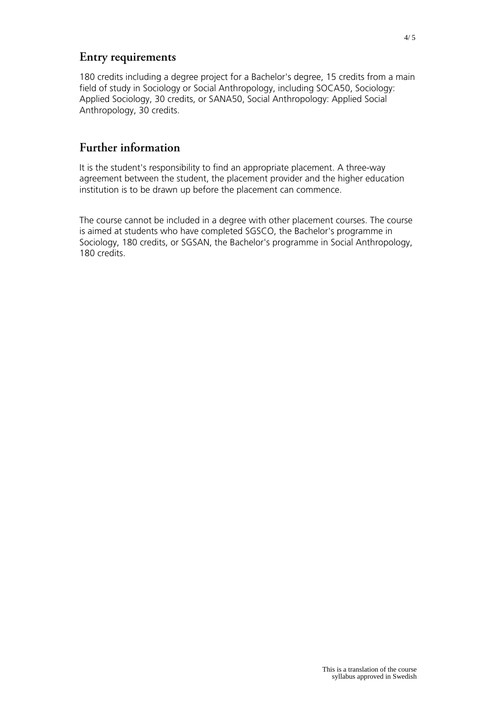### **Entry requirements**

180 credits including a degree project for a Bachelor's degree, 15 credits from a main field of study in Sociology or Social Anthropology, including SOCA50, Sociology: Applied Sociology, 30 credits, or SANA50, Social Anthropology: Applied Social Anthropology, 30 credits.

## **Further information**

It is the student's responsibility to find an appropriate placement. A three-way agreement between the student, the placement provider and the higher education institution is to be drawn up before the placement can commence.

The course cannot be included in a degree with other placement courses. The course is aimed at students who have completed SGSCO, the Bachelor's programme in Sociology, 180 credits, or SGSAN, the Bachelor's programme in Social Anthropology, 180 credits.